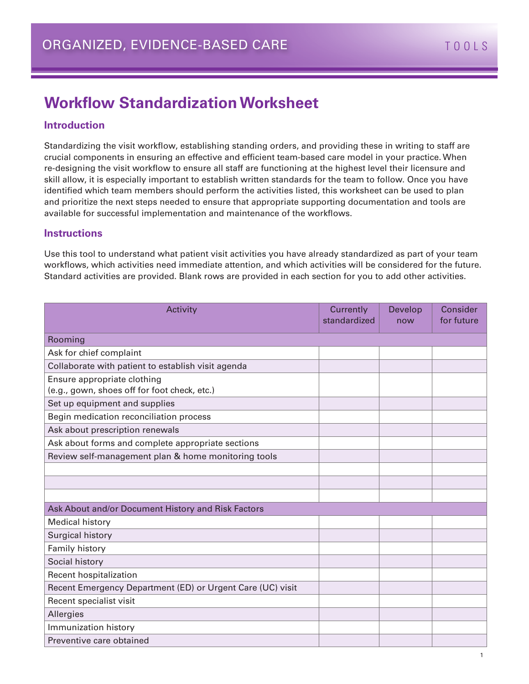## **Workflow Standardization Worksheet**

### **Introduction**

Standardizing the visit workflow, establishing standing orders, and providing these in writing to staff are crucial components in ensuring an effective and efficient team-based care model in your practice. When re-designing the visit workflow to ensure all staff are functioning at the highest level their licensure and skill allow, it is especially important to establish written standards for the team to follow. Once you have identified which team members should perform the activities listed, this worksheet can be used to plan and prioritize the next steps needed to ensure that appropriate supporting documentation and tools are available for successful implementation and maintenance of the workflows.

#### **Instructions**

Use this tool to understand what patient visit activities you have already standardized as part of your team workflows, which activities need immediate attention, and which activities will be considered for the future. Standard activities are provided. Blank rows are provided in each section for you to add other activities.

| Activity                                                   | Currently<br>standardized | Develop<br>now | Consider<br>for future |
|------------------------------------------------------------|---------------------------|----------------|------------------------|
| Rooming                                                    |                           |                |                        |
| Ask for chief complaint                                    |                           |                |                        |
| Collaborate with patient to establish visit agenda         |                           |                |                        |
| Ensure appropriate clothing                                |                           |                |                        |
| (e.g., gown, shoes off for foot check, etc.)               |                           |                |                        |
| Set up equipment and supplies                              |                           |                |                        |
| Begin medication reconciliation process                    |                           |                |                        |
| Ask about prescription renewals                            |                           |                |                        |
| Ask about forms and complete appropriate sections          |                           |                |                        |
| Review self-management plan & home monitoring tools        |                           |                |                        |
|                                                            |                           |                |                        |
|                                                            |                           |                |                        |
|                                                            |                           |                |                        |
| Ask About and/or Document History and Risk Factors         |                           |                |                        |
| <b>Medical history</b>                                     |                           |                |                        |
| Surgical history                                           |                           |                |                        |
| Family history                                             |                           |                |                        |
| Social history                                             |                           |                |                        |
| Recent hospitalization                                     |                           |                |                        |
| Recent Emergency Department (ED) or Urgent Care (UC) visit |                           |                |                        |
| Recent specialist visit                                    |                           |                |                        |
| Allergies                                                  |                           |                |                        |
| Immunization history                                       |                           |                |                        |
| Preventive care obtained                                   |                           |                |                        |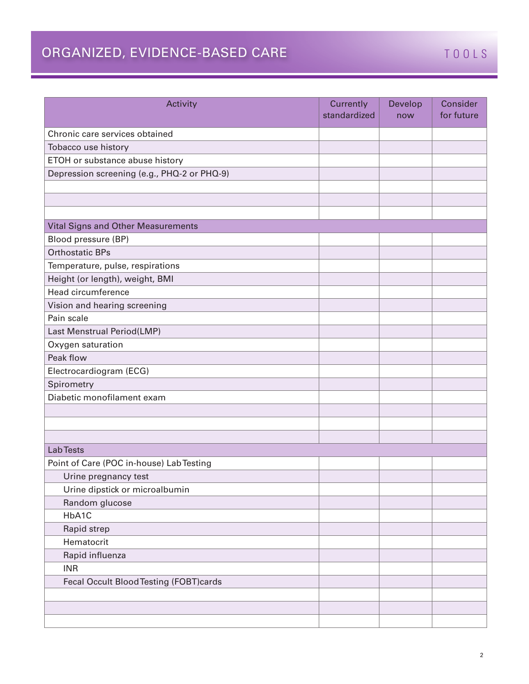## ORGANIZED, EVIDENCE-BASED CARE TOOLS

| Activity                                    | Currently<br>standardized | Develop<br>now | Consider<br>for future |
|---------------------------------------------|---------------------------|----------------|------------------------|
| Chronic care services obtained              |                           |                |                        |
| Tobacco use history                         |                           |                |                        |
| ETOH or substance abuse history             |                           |                |                        |
| Depression screening (e.g., PHQ-2 or PHQ-9) |                           |                |                        |
|                                             |                           |                |                        |
|                                             |                           |                |                        |
|                                             |                           |                |                        |
| Vital Signs and Other Measurements          |                           |                |                        |
| Blood pressure (BP)                         |                           |                |                        |
| <b>Orthostatic BPs</b>                      |                           |                |                        |
| Temperature, pulse, respirations            |                           |                |                        |
| Height (or length), weight, BMI             |                           |                |                        |
| Head circumference                          |                           |                |                        |
| Vision and hearing screening                |                           |                |                        |
| Pain scale                                  |                           |                |                        |
| Last Menstrual Period(LMP)                  |                           |                |                        |
| Oxygen saturation                           |                           |                |                        |
| Peak flow                                   |                           |                |                        |
| Electrocardiogram (ECG)                     |                           |                |                        |
| Spirometry                                  |                           |                |                        |
| Diabetic monofilament exam                  |                           |                |                        |
|                                             |                           |                |                        |
|                                             |                           |                |                        |
|                                             |                           |                |                        |
| <b>Lab Tests</b>                            |                           |                |                        |
| Point of Care (POC in-house) Lab Testing    |                           |                |                        |
| Urine pregnancy test                        |                           |                |                        |
| Urine dipstick or microalbumin              |                           |                |                        |
| Random glucose                              |                           |                |                        |
| HbA1C                                       |                           |                |                        |
| Rapid strep                                 |                           |                |                        |
| Hematocrit                                  |                           |                |                        |
| Rapid influenza                             |                           |                |                        |
| <b>INR</b>                                  |                           |                |                        |
| Fecal Occult Blood Testing (FOBT)cards      |                           |                |                        |
|                                             |                           |                |                        |
|                                             |                           |                |                        |
|                                             |                           |                |                        |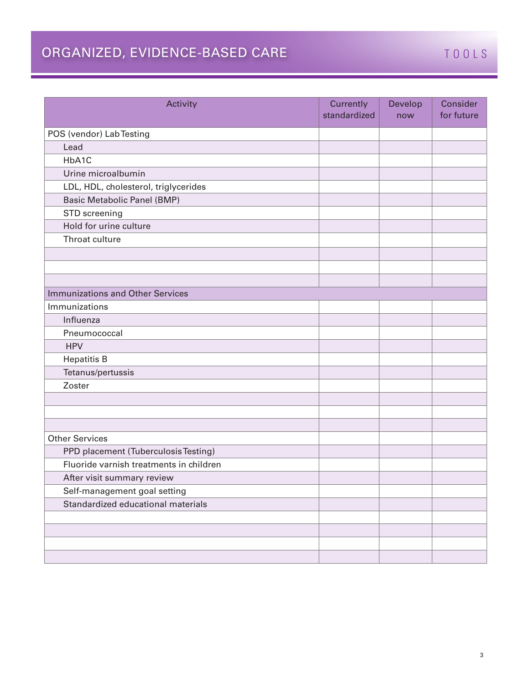# ORGANIZED, EVIDENCE-BASED CARE TOOLS

| Activity                                | Currently<br>standardized | Develop<br>now | Consider<br>for future |
|-----------------------------------------|---------------------------|----------------|------------------------|
| POS (vendor) Lab Testing                |                           |                |                        |
| Lead                                    |                           |                |                        |
| HbA1C                                   |                           |                |                        |
| Urine microalbumin                      |                           |                |                        |
| LDL, HDL, cholesterol, triglycerides    |                           |                |                        |
| <b>Basic Metabolic Panel (BMP)</b>      |                           |                |                        |
| STD screening                           |                           |                |                        |
| Hold for urine culture                  |                           |                |                        |
| Throat culture                          |                           |                |                        |
|                                         |                           |                |                        |
|                                         |                           |                |                        |
|                                         |                           |                |                        |
| <b>Immunizations and Other Services</b> |                           |                |                        |
| Immunizations                           |                           |                |                        |
| Influenza                               |                           |                |                        |
| Pneumococcal                            |                           |                |                        |
| <b>HPV</b>                              |                           |                |                        |
| <b>Hepatitis B</b>                      |                           |                |                        |
| Tetanus/pertussis                       |                           |                |                        |
| Zoster                                  |                           |                |                        |
|                                         |                           |                |                        |
|                                         |                           |                |                        |
|                                         |                           |                |                        |
| <b>Other Services</b>                   |                           |                |                        |
| PPD placement (Tuberculosis Testing)    |                           |                |                        |
| Fluoride varnish treatments in children |                           |                |                        |
| After visit summary review              |                           |                |                        |
| Self-management goal setting            |                           |                |                        |
| Standardized educational materials      |                           |                |                        |
|                                         |                           |                |                        |
|                                         |                           |                |                        |
|                                         |                           |                |                        |
|                                         |                           |                |                        |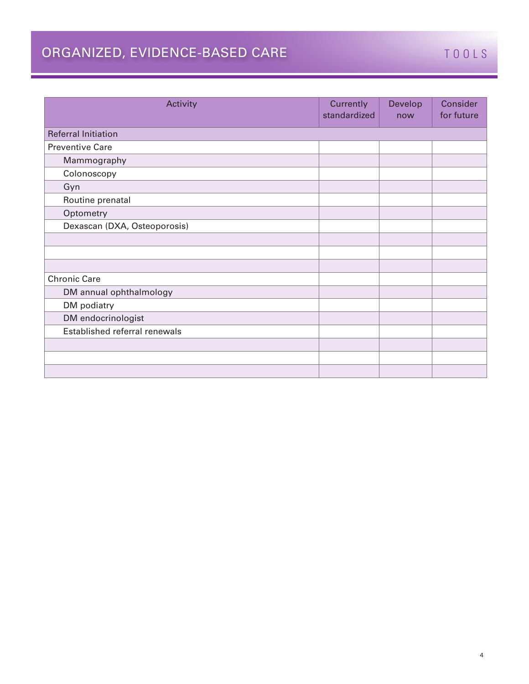# ORGANIZED, EVIDENCE-BASED CARE TOOLS

| Activity                      | Currently<br>standardized | Develop<br>now | Consider<br>for future |
|-------------------------------|---------------------------|----------------|------------------------|
| <b>Referral Initiation</b>    |                           |                |                        |
| <b>Preventive Care</b>        |                           |                |                        |
| Mammography                   |                           |                |                        |
| Colonoscopy                   |                           |                |                        |
| Gyn                           |                           |                |                        |
| Routine prenatal              |                           |                |                        |
| Optometry                     |                           |                |                        |
| Dexascan (DXA, Osteoporosis)  |                           |                |                        |
|                               |                           |                |                        |
|                               |                           |                |                        |
|                               |                           |                |                        |
| <b>Chronic Care</b>           |                           |                |                        |
| DM annual ophthalmology       |                           |                |                        |
| DM podiatry                   |                           |                |                        |
| DM endocrinologist            |                           |                |                        |
| Established referral renewals |                           |                |                        |
|                               |                           |                |                        |
|                               |                           |                |                        |
|                               |                           |                |                        |